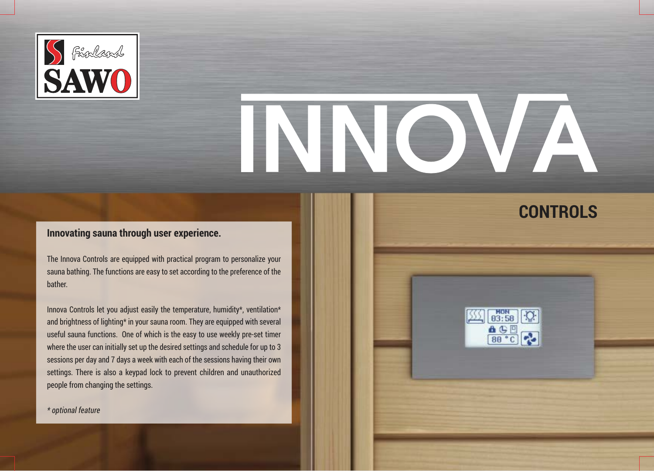

# 

**CONTROLS**

 $\left[\frac{\sqrt{35}}{2}\right]$   $\left[\frac{H\text{ON}}{03:58}\right]$  $\begin{array}{c}\n\bullet & \circ \\
\hline\n\bullet & \circ \\
\hline\n\circ & \circ\n\end{array}$ 

## **Innovating sauna through user experience.**

The Innova Controls are equipped with practical program to personalize your sauna bathing. The functions are easy to set according to the preference of the bather.

Innova Controls let you adjust easily the temperature, humidity\*, ventilation\* and brightness of lighting\* in your sauna room. They are equipped with several useful sauna functions. One of which is the easy to use weekly pre-set timer where the user can initially set up the desired settings and schedule for up to 3 sessions per day and 7 days a week with each of the sessions having their own settings. There is also a keypad lock to prevent children and unauthorized people from changing the settings.

*\* optional feature*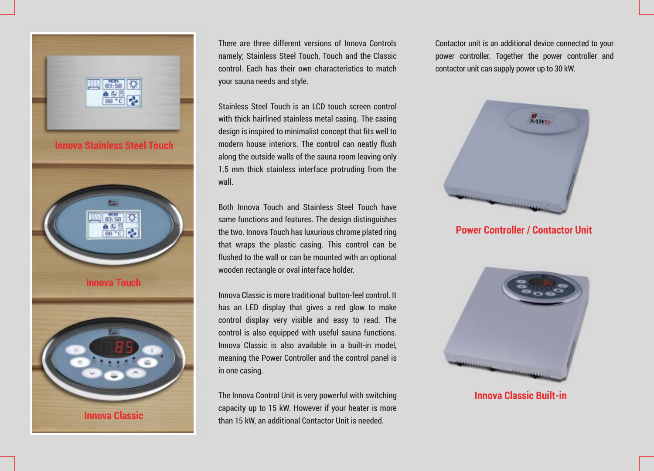

There are three different versions of Innova Controls namely; Stainless Steel Touch, Touch and the Classic control. Each has their own characteristics to match your sauna needs and style.

Stainless Steel Touch is an LCD touch screen control with thick hairlined stainless metal casing. The casing design is inspired to minimalist concept that fits well to modern house interiors. The control can neatly flush along the outside walls of the sauna room leaving only 1.5 mm thick stainless interface protruding from the wall.

Both Innova Touch and Stainless Steel Touch have same functions and features. The design distinguishes the two. Innova Touch has luxurious chrome plated ring that wraps the plastic casing. This control can be flushed to the wall or can be mounted with an optional wooden rectangle or oval interface holder.

Innova Classic is more traditional button-feel control. It has an LED display that gives a red glow to make control display very visible and easy to read. The control is also equipped with useful sauna functions. Innova Classic is also available in a built-in model, meaning the Power Controller and the control panel is in one casing.

The Innova Control Unit is very powerful with switching capacity up to 15 kW. However if your heater is more than 15 kW, an additional Contactor Unit is needed.

Contactor unit is an additional device connected to your power controller. Together the power controller and contactor unit can supply power up to 30 kW.



**Power Controller / Contactor Unit**



**Innova Classic Built-in**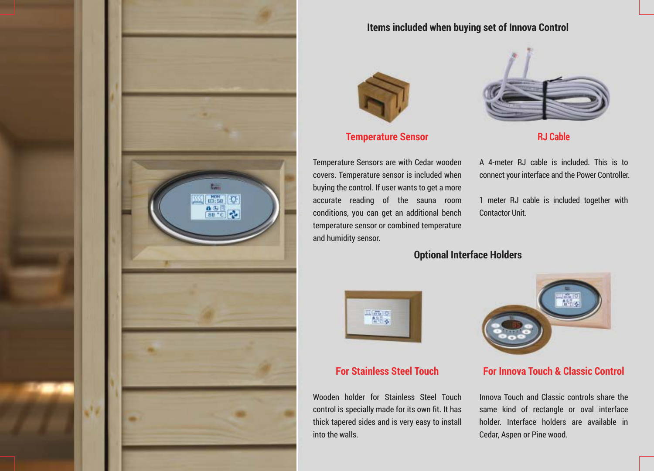

### **Items included when buying set of Innova Control**



**Temperature Sensor**

Temperature Sensors are with Cedar wooden covers. Temperature sensor is included when buying the control. If user wants to get a more accurate reading of the sauna room conditions, you can get an additional bench temperature sensor or combined temperature and humidity sensor.



**RJ Cable**

A 4-meter RJ cable is included. This is to connect your interface and the Power Controller.

1 meter RJ cable is included together with Contactor Unit.

## **Optional Interface Holders**



# **For Stainless Steel Touch**

Wooden holder for Stainless Steel Touch control is specially made for its own fit. It has thick tapered sides and is very easy to install into the walls.



### **For Innova Touch & Classic Control**

Innova Touch and Classic controls share the same kind of rectangle or oval interface holder. Interface holders are available in Cedar, Aspen or Pine wood.